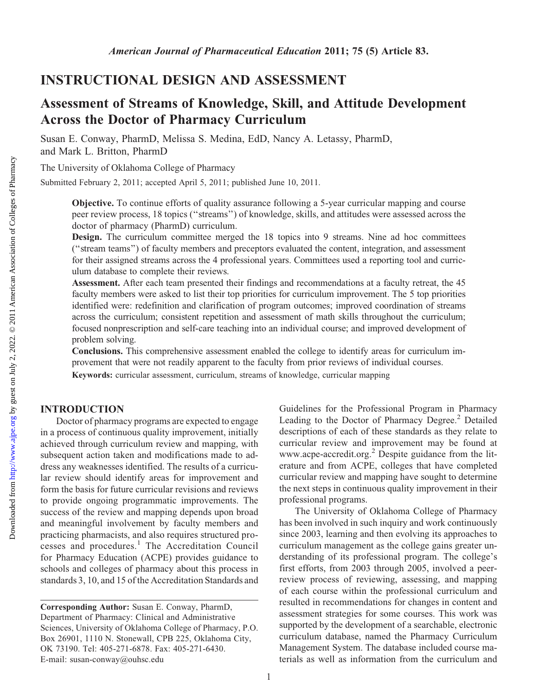<http://www.ajpe.org>

Downloaded from

# INSTRUCTIONAL DESIGN AND ASSESSMENT

# Assessment of Streams of Knowledge, Skill, and Attitude Development Across the Doctor of Pharmacy Curriculum

Susan E. Conway, PharmD, Melissa S. Medina, EdD, Nancy A. Letassy, PharmD, and Mark L. Britton, PharmD

The University of Oklahoma College of Pharmacy

Submitted February 2, 2011; accepted April 5, 2011; published June 10, 2011.

Objective. To continue efforts of quality assurance following a 5-year curricular mapping and course peer review process, 18 topics (''streams'') of knowledge, skills, and attitudes were assessed across the doctor of pharmacy (PharmD) curriculum.

Design. The curriculum committee merged the 18 topics into 9 streams. Nine ad hoc committees (''stream teams'') of faculty members and preceptors evaluated the content, integration, and assessment for their assigned streams across the 4 professional years. Committees used a reporting tool and curriculum database to complete their reviews.

Assessment. After each team presented their findings and recommendations at a faculty retreat, the 45 faculty members were asked to list their top priorities for curriculum improvement. The 5 top priorities identified were: redefinition and clarification of program outcomes; improved coordination of streams across the curriculum; consistent repetition and assessment of math skills throughout the curriculum; focused nonprescription and self-care teaching into an individual course; and improved development of problem solving.

Conclusions. This comprehensive assessment enabled the college to identify areas for curriculum improvement that were not readily apparent to the faculty from prior reviews of individual courses. Keywords: curricular assessment, curriculum, streams of knowledge, curricular mapping

INTRODUCTION Doctor of pharmacy programs are expected to engage in a process of continuous quality improvement, initially achieved through curriculum review and mapping, with subsequent action taken and modifications made to address any weaknesses identified. The results of a curricular review should identify areas for improvement and form the basis for future curricular revisions and reviews to provide ongoing programmatic improvements. The success of the review and mapping depends upon broad and meaningful involvement by faculty members and practicing pharmacists, and also requires structured processes and procedures.<sup>1</sup> The Accreditation Council for Pharmacy Education (ACPE) provides guidance to schools and colleges of pharmacy about this process in standards 3, 10, and 15 of the Accreditation Standards and Guidelines for the Professional Program in Pharmacy Leading to the Doctor of Pharmacy Degree.<sup>2</sup> Detailed descriptions of each of these standards as they relate to curricular review and improvement may be found at www.acpe-accredit.org.<sup>2</sup> Despite guidance from the literature and from ACPE, colleges that have completed curricular review and mapping have sought to determine the next steps in continuous quality improvement in their professional programs.

The University of Oklahoma College of Pharmacy has been involved in such inquiry and work continuously since 2003, learning and then evolving its approaches to curriculum management as the college gains greater understanding of its professional program. The college's first efforts, from 2003 through 2005, involved a peerreview process of reviewing, assessing, and mapping of each course within the professional curriculum and resulted in recommendations for changes in content and assessment strategies for some courses. This work was supported by the development of a searchable, electronic curriculum database, named the Pharmacy Curriculum Management System. The database included course materials as well as information from the curriculum and

Corresponding Author: Susan E. Conway, PharmD, Department of Pharmacy: Clinical and Administrative Sciences, University of Oklahoma College of Pharmacy, P.O. Box 26901, 1110 N. Stonewall, CPB 225, Oklahoma City, OK 73190. Tel: 405-271-6878. Fax: 405-271-6430. E-mail: susan-conway@ouhsc.edu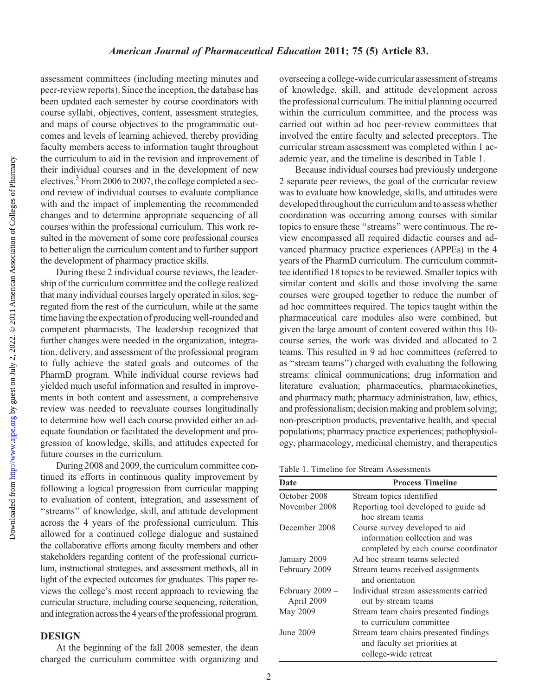assessment committees (including meeting minutes and peer-review reports). Since the inception, the database has been updated each semester by course coordinators with course syllabi, objectives, content, assessment strategies, and maps of course objectives to the programmatic outcomes and levels of learning achieved, thereby providing faculty members access to information taught throughout the curriculum to aid in the revision and improvement of their individual courses and in the development of new electives.3 From 2006 to 2007, the college completed a second review of individual courses to evaluate compliance with and the impact of implementing the recommended changes and to determine appropriate sequencing of all courses within the professional curriculum. This work resulted in the movement of some core professional courses to better align the curriculum content and to further support the development of pharmacy practice skills.

During these 2 individual course reviews, the leadership of the curriculum committee and the college realized that many individual courses largely operated in silos, segregated from the rest of the curriculum, while at the same time having the expectation of producing well-rounded and competent pharmacists. The leadership recognized that further changes were needed in the organization, integration, delivery, and assessment of the professional program to fully achieve the stated goals and outcomes of the PharmD program. While individual course reviews had yielded much useful information and resulted in improvements in both content and assessment, a comprehensive review was needed to reevaluate courses longitudinally to determine how well each course provided either an adequate foundation or facilitated the development and progression of knowledge, skills, and attitudes expected for future courses in the curriculum.

During 2008 and 2009, the curriculum committee continued its efforts in continuous quality improvement by following a logical progression from curricular mapping to evaluation of content, integration, and assessment of ''streams'' of knowledge, skill, and attitude development across the 4 years of the professional curriculum. This allowed for a continued college dialogue and sustained the collaborative efforts among faculty members and other stakeholders regarding content of the professional curriculum, instructional strategies, and assessment methods, all in light of the expected outcomes for graduates. This paper reviews the college's most recent approach to reviewing the curricular structure, including course sequencing, reiteration, and integration across the 4 years of the professional program.

### **DESIGN**

At the beginning of the fall 2008 semester, the dean charged the curriculum committee with organizing and

overseeing a college-wide curricular assessment of streams of knowledge, skill, and attitude development across the professional curriculum. The initial planning occurred within the curriculum committee, and the process was carried out within ad hoc peer-review committees that involved the entire faculty and selected preceptors. The curricular stream assessment was completed within 1 academic year, and the timeline is described in Table 1.

Because individual courses had previously undergone 2 separate peer reviews, the goal of the curricular review was to evaluate how knowledge, skills, and attitudes were developed throughout the curriculum and to assess whether coordination was occurring among courses with similar topics to ensure these ''streams'' were continuous. The review encompassed all required didactic courses and advanced pharmacy practice experiences (APPEs) in the 4 years of the PharmD curriculum. The curriculum committee identified 18 topics to be reviewed. Smaller topics with similar content and skills and those involving the same courses were grouped together to reduce the number of ad hoc committees required. The topics taught within the pharmaceutical care modules also were combined, but given the large amount of content covered within this 10 course series, the work was divided and allocated to 2 teams. This resulted in 9 ad hoc committees (referred to as ''stream teams'') charged with evaluating the following streams: clinical communications; drug information and literature evaluation; pharmaceutics, pharmacokinetics, and pharmacy math; pharmacy administration, law, ethics, and professionalism; decision making and problem solving; non-prescription products, preventative health, and special populations; pharmacy practice experiences; pathophysiology, pharmacology, medicinal chemistry, and therapeutics

| Table 1. Timeline for Stream Assessments |  |
|------------------------------------------|--|
|------------------------------------------|--|

| Date                          | <b>Process Timeline</b>                                                                                  |
|-------------------------------|----------------------------------------------------------------------------------------------------------|
| October 2008                  | Stream topics identified                                                                                 |
| November 2008                 | Reporting tool developed to guide ad<br>hoc stream teams                                                 |
| December 2008                 | Course survey developed to aid<br>information collection and was<br>completed by each course coordinator |
| January 2009                  | Ad hoc stream teams selected                                                                             |
| February 2009                 | Stream teams received assignments<br>and orientation                                                     |
| February 2009 -<br>April 2009 | Individual stream assessments carried<br>out by stream teams                                             |
| May 2009                      | Stream team chairs presented findings<br>to curriculum committee                                         |
| June 2009                     | Stream team chairs presented findings<br>and faculty set priorities at<br>college-wide retreat           |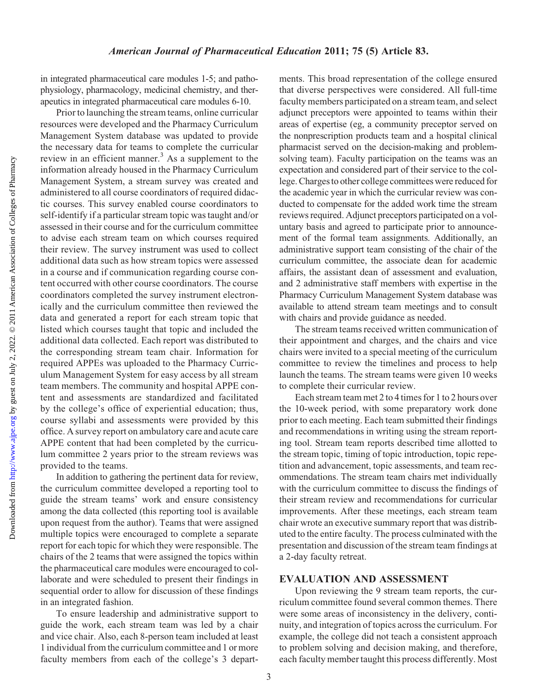in integrated pharmaceutical care modules 1-5; and pathophysiology, pharmacology, medicinal chemistry, and therapeutics in integrated pharmaceutical care modules 6-10.

Prior to launching the stream teams, online curricular resources were developed and the Pharmacy Curriculum Management System database was updated to provide the necessary data for teams to complete the curricular review in an efficient manner.<sup>3</sup> As a supplement to the information already housed in the Pharmacy Curriculum Management System, a stream survey was created and administered to all course coordinators of required didactic courses. This survey enabled course coordinators to self-identify if a particular stream topic was taught and/or assessed in their course and for the curriculum committee to advise each stream team on which courses required their review. The survey instrument was used to collect additional data such as how stream topics were assessed in a course and if communication regarding course content occurred with other course coordinators. The course coordinators completed the survey instrument electronically and the curriculum committee then reviewed the data and generated a report for each stream topic that listed which courses taught that topic and included the additional data collected. Each report was distributed to the corresponding stream team chair. Information for required APPEs was uploaded to the Pharmacy Curriculum Management System for easy access by all stream team members. The community and hospital APPE content and assessments are standardized and facilitated by the college's office of experiential education; thus, course syllabi and assessments were provided by this office. A survey report on ambulatory care and acute care APPE content that had been completed by the curriculum committee 2 years prior to the stream reviews was provided to the teams.

In addition to gathering the pertinent data for review, the curriculum committee developed a reporting tool to guide the stream teams' work and ensure consistency among the data collected (this reporting tool is available upon request from the author). Teams that were assigned multiple topics were encouraged to complete a separate report for each topic for which they were responsible. The chairs of the 2 teams that were assigned the topics within the pharmaceutical care modules were encouraged to collaborate and were scheduled to present their findings in sequential order to allow for discussion of these findings in an integrated fashion.

To ensure leadership and administrative support to guide the work, each stream team was led by a chair and vice chair. Also, each 8-person team included at least 1 individual from the curriculum committee and 1 or more faculty members from each of the college's 3 departments. This broad representation of the college ensured that diverse perspectives were considered. All full-time faculty members participated on a stream team, and select adjunct preceptors were appointed to teams within their areas of expertise (eg, a community preceptor served on the nonprescription products team and a hospital clinical pharmacist served on the decision-making and problemsolving team). Faculty participation on the teams was an expectation and considered part of their service to the college. Charges to other college committees were reduced for the academic year in which the curricular review was conducted to compensate for the added work time the stream reviews required. Adjunct preceptors participated on a voluntary basis and agreed to participate prior to announcement of the formal team assignments. Additionally, an administrative support team consisting of the chair of the curriculum committee, the associate dean for academic affairs, the assistant dean of assessment and evaluation, and 2 administrative staff members with expertise in the Pharmacy Curriculum Management System database was available to attend stream team meetings and to consult with chairs and provide guidance as needed.

The stream teams received written communication of their appointment and charges, and the chairs and vice chairs were invited to a special meeting of the curriculum committee to review the timelines and process to help launch the teams. The stream teams were given 10 weeks to complete their curricular review.

Each stream team met 2 to 4 times for 1 to 2 hours over the 10-week period, with some preparatory work done prior to each meeting. Each team submitted their findings and recommendations in writing using the stream reporting tool. Stream team reports described time allotted to the stream topic, timing of topic introduction, topic repetition and advancement, topic assessments, and team recommendations. The stream team chairs met individually with the curriculum committee to discuss the findings of their stream review and recommendations for curricular improvements. After these meetings, each stream team chair wrote an executive summary report that was distributed to the entire faculty. The process culminated with the presentation and discussion of the stream team findings at a 2-day faculty retreat.

#### EVALUATION AND ASSESSMENT

Upon reviewing the 9 stream team reports, the curriculum committee found several common themes. There were some areas of inconsistency in the delivery, continuity, and integration of topics across the curriculum. For example, the college did not teach a consistent approach to problem solving and decision making, and therefore, each faculty member taught this process differently. Most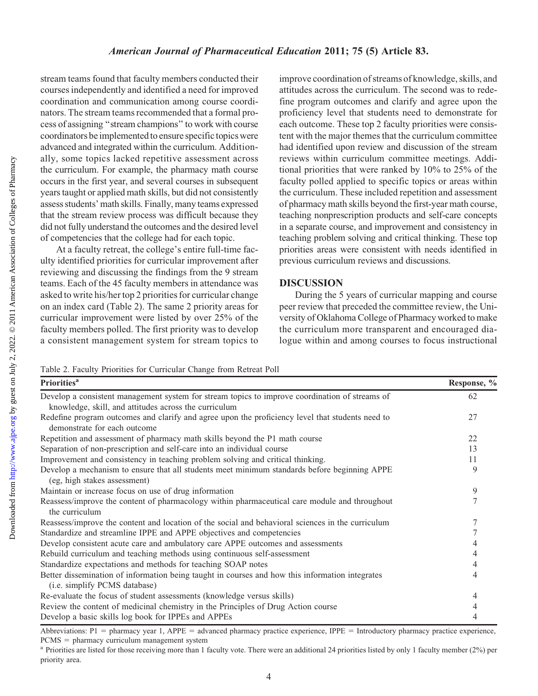<http://www.ajpe.org>

Downloaded from

stream teams found that faculty members conducted their courses independently and identified a need for improved coordination and communication among course coordinators. The stream teams recommended that a formal process of assigning ''stream champions'' to work with course coordinators be implemented to ensure specific topics were advanced and integrated within the curriculum. Additionally, some topics lacked repetitive assessment across the curriculum. For example, the pharmacy math course occurs in the first year, and several courses in subsequent years taught or applied math skills, but did not consistently assess students' math skills. Finally, many teams expressed that the stream review process was difficult because they did not fully understand the outcomes and the desired level of competencies that the college had for each topic.

At a faculty retreat, the college's entire full-time faculty identified priorities for curricular improvement after reviewing and discussing the findings from the 9 stream teams. Each of the 45 faculty members in attendance was asked to write his/her top 2 priorities for curricular change on an index card (Table 2). The same 2 priority areas for curricular improvement were listed by over 25% of the faculty members polled. The first priority was to develop a consistent management system for stream topics to

improve coordination of streams of knowledge, skills, and attitudes across the curriculum. The second was to redefine program outcomes and clarify and agree upon the proficiency level that students need to demonstrate for each outcome. These top 2 faculty priorities were consistent with the major themes that the curriculum committee had identified upon review and discussion of the stream reviews within curriculum committee meetings. Additional priorities that were ranked by 10% to 25% of the faculty polled applied to specific topics or areas within the curriculum. These included repetition and assessment of pharmacy math skills beyond the first-year math course, teaching nonprescription products and self-care concepts in a separate course, and improvement and consistency in teaching problem solving and critical thinking. These top priorities areas were consistent with needs identified in previous curriculum reviews and discussions.

## DISCUSSION

During the 5 years of curricular mapping and course peer review that preceded the committee review, the University of Oklahoma College of Pharmacy worked to make the curriculum more transparent and encouraged dialogue within and among courses to focus instructional

Table 2. Faculty Priorities for Curricular Change from Retreat Poll

| <b>Priorities<sup>a</sup></b>                                                                                                                           | Response, % |
|---------------------------------------------------------------------------------------------------------------------------------------------------------|-------------|
| Develop a consistent management system for stream topics to improve coordination of streams of<br>knowledge, skill, and attitudes across the curriculum | 62          |
| Redefine program outcomes and clarify and agree upon the proficiency level that students need to<br>demonstrate for each outcome                        | 27          |
| Repetition and assessment of pharmacy math skills beyond the P1 math course                                                                             | 22          |
| Separation of non-prescription and self-care into an individual course                                                                                  | 13          |
| Improvement and consistency in teaching problem solving and critical thinking.                                                                          | 11          |
| Develop a mechanism to ensure that all students meet minimum standards before beginning APPE<br>(eg, high stakes assessment)                            | 9           |
| Maintain or increase focus on use of drug information                                                                                                   | 9           |
| Reassess/improve the content of pharmacology within pharmaceutical care module and throughout<br>the curriculum                                         |             |
| Reassess/improve the content and location of the social and behavioral sciences in the curriculum                                                       |             |
| Standardize and streamline IPPE and APPE objectives and competencies                                                                                    |             |
| Develop consistent acute care and ambulatory care APPE outcomes and assessments                                                                         |             |
| Rebuild curriculum and teaching methods using continuous self-assessment                                                                                |             |
| Standardize expectations and methods for teaching SOAP notes                                                                                            |             |
| Better dissemination of information being taught in courses and how this information integrates<br>(i.e. simplify PCMS database)                        |             |
| Re-evaluate the focus of student assessments (knowledge versus skills)                                                                                  |             |
| Review the content of medicinal chemistry in the Principles of Drug Action course                                                                       |             |
| Develop a basic skills log book for IPPEs and APPEs                                                                                                     |             |

Abbreviations:  $PI = pharmacy year 1$ , APPE = advanced pharmacy practice experience, IPPE = Introductory pharmacy practice experience, PCMS = pharmacy curriculum management system<br><sup>a</sup> Priorities are listed for those receiving more than 1 faculty vote. There were an additional 24 priorities listed by only 1 faculty member (2%) per

priority area.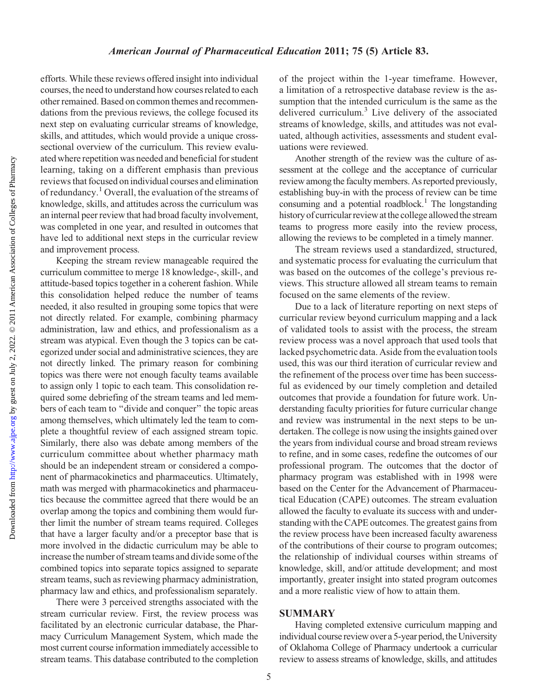efforts. While these reviews offered insight into individual courses, the need to understand how courses related to each other remained. Based on common themes and recommendations from the previous reviews, the college focused its next step on evaluating curricular streams of knowledge, skills, and attitudes, which would provide a unique crosssectional overview of the curriculum. This review evaluated where repetition was needed and beneficial for student learning, taking on a different emphasis than previous reviews that focused on individual courses and elimination of redundancy.<sup>1</sup> Overall, the evaluation of the streams of knowledge, skills, and attitudes across the curriculum was an internal peer review that had broad faculty involvement, was completed in one year, and resulted in outcomes that have led to additional next steps in the curricular review and improvement process.

Keeping the stream review manageable required the curriculum committee to merge 18 knowledge-, skill-, and attitude-based topics together in a coherent fashion. While this consolidation helped reduce the number of teams needed, it also resulted in grouping some topics that were not directly related. For example, combining pharmacy administration, law and ethics, and professionalism as a stream was atypical. Even though the 3 topics can be categorized under social and administrative sciences, they are not directly linked. The primary reason for combining topics was there were not enough faculty teams available to assign only 1 topic to each team. This consolidation required some debriefing of the stream teams and led members of each team to ''divide and conquer'' the topic areas among themselves, which ultimately led the team to complete a thoughtful review of each assigned stream topic. Similarly, there also was debate among members of the curriculum committee about whether pharmacy math should be an independent stream or considered a component of pharmacokinetics and pharmaceutics. Ultimately, math was merged with pharmacokinetics and pharmaceutics because the committee agreed that there would be an overlap among the topics and combining them would further limit the number of stream teams required. Colleges that have a larger faculty and/or a preceptor base that is more involved in the didactic curriculum may be able to increase the number of stream teams and divide some of the combined topics into separate topics assigned to separate stream teams, such as reviewing pharmacy administration, pharmacy law and ethics, and professionalism separately.

There were 3 perceived strengths associated with the stream curricular review. First, the review process was facilitated by an electronic curricular database, the Pharmacy Curriculum Management System, which made the most current course information immediately accessible to stream teams. This database contributed to the completion of the project within the 1-year timeframe. However, a limitation of a retrospective database review is the assumption that the intended curriculum is the same as the delivered curriculum.3 Live delivery of the associated streams of knowledge, skills, and attitudes was not evaluated, although activities, assessments and student evaluations were reviewed.

Another strength of the review was the culture of assessment at the college and the acceptance of curricular review among the faculty members. As reported previously, establishing buy-in with the process of review can be time consuming and a potential roadblock.<sup>1</sup> The longstanding history of curricular review at the college allowed the stream teams to progress more easily into the review process, allowing the reviews to be completed in a timely manner.

The stream reviews used a standardized, structured, and systematic process for evaluating the curriculum that was based on the outcomes of the college's previous reviews. This structure allowed all stream teams to remain focused on the same elements of the review.

Due to a lack of literature reporting on next steps of curricular review beyond curriculum mapping and a lack of validated tools to assist with the process, the stream review process was a novel approach that used tools that lacked psychometric data. Aside from the evaluation tools used, this was our third iteration of curricular review and the refinement of the process over time has been successful as evidenced by our timely completion and detailed outcomes that provide a foundation for future work. Understanding faculty priorities for future curricular change and review was instrumental in the next steps to be undertaken. The college is now using the insights gained over the years from individual course and broad stream reviews to refine, and in some cases, redefine the outcomes of our professional program. The outcomes that the doctor of pharmacy program was established with in 1998 were based on the Center for the Advancement of Pharmaceutical Education (CAPE) outcomes. The stream evaluation allowed the faculty to evaluate its success with and understanding with the CAPE outcomes. The greatest gains from the review process have been increased faculty awareness of the contributions of their course to program outcomes; the relationship of individual courses within streams of knowledge, skill, and/or attitude development; and most importantly, greater insight into stated program outcomes and a more realistic view of how to attain them.

### SUMMARY

Having completed extensive curriculum mapping and individual course review over a 5-year period, the University of Oklahoma College of Pharmacy undertook a curricular review to assess streams of knowledge, skills, and attitudes